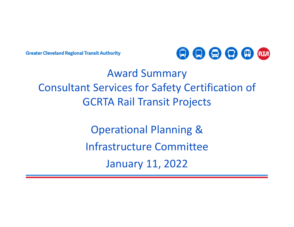**Greater Cleveland Regional Transit Authority** 



# Award Summary Consultant Services for Safety Certification of GCRTA Rail Transit Projects

Operational Planning & Infrastructure CommitteeJanuary 11, 2022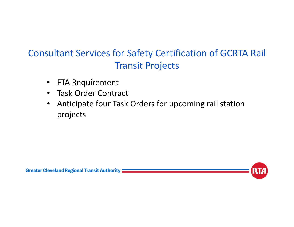# Consultant Services for Safety Certification of GCRTA Rail Transit Projects

- $\bullet$ FTA Requirement
- Task Order Contract
- $\bullet$  Anticipate four Task Orders for upcoming rail station projects



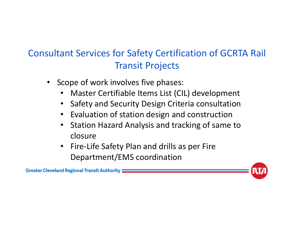# Consultant Services for Safety Certification of GCRTA Rail Transit Projects

- • Scope of work involves five phases:
	- •Master Certifiable Items List (CIL) development
	- $\bullet$ Safety and Security Design Criteria consultation
	- •Evaluation of station design and construction
	- • Station Hazard Analysis and tracking of same to closure
	- Fire‐Life Safety Plan and drills as per Fire Department/EMS coordination

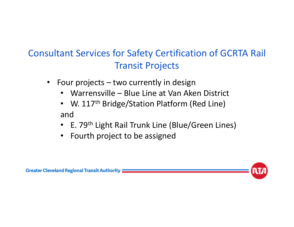# Consultant Services for Safety Certification of GCRTA Rail Transit Projects

- • Four projects – two currently in design
	- Warrensville Blue Line at Van Aken District
	- W. 117<sup>th</sup> Bridge/Station Platform (Red Line) and
	- E. 79<sup>th</sup> Light Rail Trunk Line (Blue/Green Lines)
	- Fourth project to be assigned

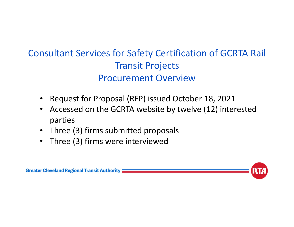- •Request for Proposal (RFP) issued October 18, 2021
- $\bullet$  Accessed on the GCRTA website by twelve (12) interested parties
- Three (3) firms submitted proposals
- Three (3) firms were interviewed

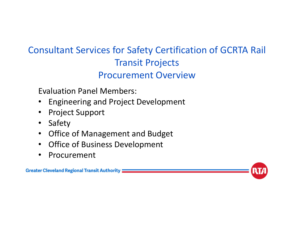Evaluation Panel Members:

- •Engineering and Project Development
- •Project Support
- •Safety
- $\bullet$ Office of Management and Budget
- $\bullet$ Office of Business Development
- •Procurement

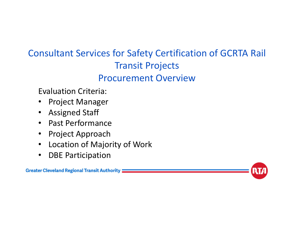Evaluation Criteria:

- •Project Manager
- •Assigned Staff
- $\bullet$ Past Performance
- $\bullet$ Project Approach
- $\bullet$ Location of Majority of Work
- $\bullet$ DBE Participation

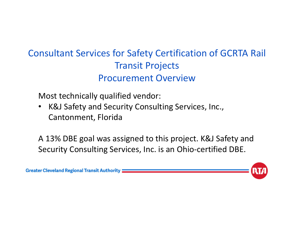Most technically qualified vendor:

• K&J Safety and Security Consulting Services, Inc., Cantonment, Florida

A 13% DBE goal was assigned to this project. K&J Safety and Security Consulting Services, Inc. is an Ohio‐certified DBE.

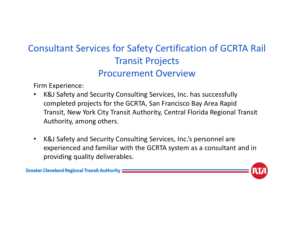Firm Experience:

- $\bullet$  K&J Safety and Security Consulting Services, Inc. has successfully completed projects for the GCRTA, San Francisco Bay Area Rapid Transit, New York City Transit Authority, Central Florida Regional Transit Authority, among others.
- $\bullet$  K&J Safety and Security Consulting Services, Inc.'s personnel are experienced and familiar with the GCRTA system as a consultant and in providing quality deliverables.